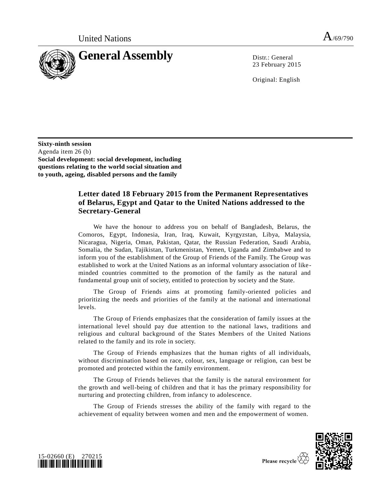

23 February 2015

Original: English

**Sixty-ninth session** Agenda item 26 (b) **Social development: social development, including questions relating to the world social situation and to youth, ageing, disabled persons and the family**

## **Letter dated 18 February 2015 from the Permanent Representatives of Belarus, Egypt and Qatar to the United Nations addressed to the Secretary-General**

We have the honour to address you on behalf of Bangladesh, Belarus, the Comoros, Egypt, Indonesia, Iran, Iraq, Kuwait, Kyrgyzstan, Libya, Malaysia, Nicaragua, Nigeria, Oman, Pakistan, Qatar, the Russian Federation, Saudi Arabia, Somalia, the Sudan, Tajikistan, Turkmenistan, Yemen, Uganda and Zimbabwe and to inform you of the establishment of the Group of Friends of the Family. The Group was established to work at the United Nations as an informal voluntary association of likeminded countries committed to the promotion of the family as the natural and fundamental group unit of society, entitled to protection by society and the State.

The Group of Friends aims at promoting family-oriented policies and prioritizing the needs and priorities of the family at the national and international levels.

The Group of Friends emphasizes that the consideration of family issues at the international level should pay due attention to the national laws, traditions and religious and cultural background of the States Members of the United Nations related to the family and its role in society.

The Group of Friends emphasizes that the human rights of all individuals, without discrimination based on race, colour, sex, language or religion, can best be promoted and protected within the family environment.

The Group of Friends believes that the family is the natural environment for the growth and well-being of children and that it has the primary responsibility for nurturing and protecting children, from infancy to adolescence.

The Group of Friends stresses the ability of the family with regard to the achievement of equality between women and men and the empowerment of women.